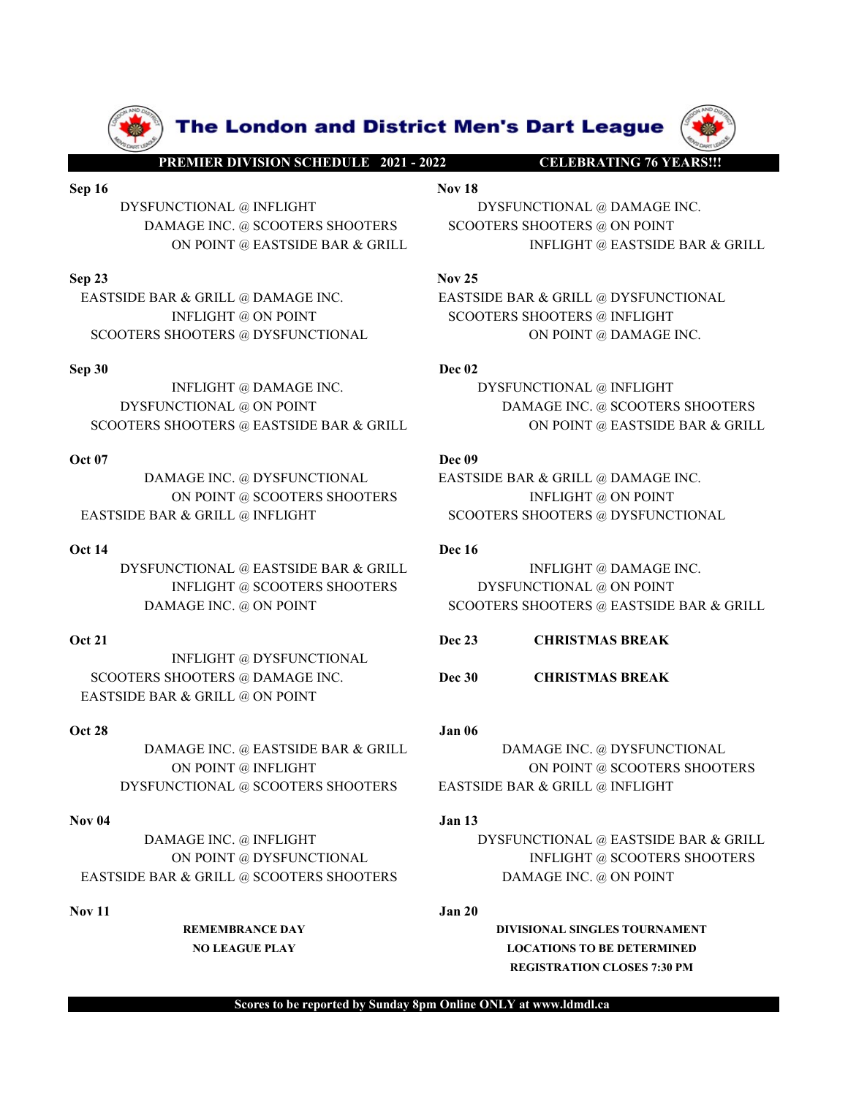



**EASTSIDE BAR & GRILL @ DAMAGE INC.**<br>
INFLIGHT @ ON POINT<br>
DREAK SHOTERS SHOTERS @ NEWSPOTERS ON THE CONTERNATION ALL SCOPERS SHOTERS ON POINT<br>
SCOPERS SHOTERS & DREAK CHRISTMAS LAR A GRILL BOARD ON POINT & DAMAGE INC.<br>
D SCOOTERS SHOOTERS @ DYSPUNCTIONAL (ACADEMAS BREAK AND THE CHRISTMAS BREAK CRILL<br>
THE CHANGE INC. DECAMPLE AND MANAGE INC. DECAMPLE AND DRIVE CONTROLL ON POINT (CONTROLL ON POINT (CONTROLL ON POINT (CONTROLL ON POINT (CONT THEIGHT (@DAMAGE INC. THEIGHT (@DAMAGE INC. THEIGHT (2007ERS SHOOTERS (@DAMAGE INC. (@DAMAGE INC. ON POINT (@DAMAGE INC. ON POINT (@DAMAGE INC. ON POINT (@DAMAGE INC. ON POINT (2007ERS SHOOTERS SHOOTERS SHOOTERS (WELL ASSE DAMAGE INC. @ DYSEUNCTIONAL<br>
NAMAGE INC. @ ONDIT @ SCOOTERS SHOOTERS<br>
NOVEM CONTENE SAR & GRILL & INFLIGHT & ONDINT<br>
NOVEM CONTENE SHOOTERS<br>
NELL METAL CONTENE BAR AS CRILL<br>
NELL METAL CONTENE INTERFERING TO A SUPPORT DAMA

INFLIGHT @ DYSFUNCTIONAL EASTSIDE BAR & GRILL @ ON POINT

EASTSIDE BAR (ERILL **DEASTSIDE BAR ASTSIDE BAR ASTSIDE BAR ASTSIDE BAR ASTSIDE BAR ASTSIDE BAR ASTSIDE BAR ASTSIDE BAR ASTSIDE BAR ASTSIDE BAR ASTSIDE BAR ASTSIDE BAR ASTSIDE BAR ASTSIDE BAR ASTSIDE BAR ASTSIDE BAR ASTSIDE** NOVEMBER (METATH AND THE SCOOTERS SHOOTERS SHOOTERS SHOOTERS SHOOTERS SHOOTERS SHOOTERS SHOOTERS SHOOTERS SHOOTERS SHOOTERS SHOOTERS SHOOTERS SHOOTERS SHOOTERS SHOOTERS SHOOTERS SHOOTERS ASSESS SHOOTERS ASSESS SHOOTERS ASS

**The London and District Men's Dart League (Premier DIVISION SCHEDULE 2021 - 2022**<br>PREMIER DIVISION SCHEDULE 2021 - 2022<br>Nov 18<br>MAGE INC. @ SCOOTERS SHOOTERS SHOOTERS SHOOTERS @ ON POINT<br>ON POINT @ EASTSIDE BAR & GRILL INF **SEP 16<br>
SEP 16 DESCRIPTION AND ANOTES SEPTEMBER AT A SEPTEMBER AT A SEPTEMBER AT A SEPTEMBER AT A SEPTEMBER AT A SEPTEMBER AT A SEPTEMBER AT A SEPTEMBER AND A SCOTER SHOOTERS SHOOTERS GON POINT @ EASTSIDE BAR & GRILL<br>
Sep EXERCISE AREA GRILL SERVIS CONSIDERATE CONSIDERATION CONSIDERATION CONSIDERATION CONSIDERS**<br>DYSFUNCTIONAL @ INFLIGHT<br>DAMAGE INC. @ SCOOTERS SHOOTERS<br>ON POINT @ EASTSIDE BAR & GRILL<br>SIDE BAR & GRILL<br>SIDE BAR & GRILL<br>SIDE B **EXAMPLE INC. WE ARE CONTROLL ON PREMIER DAMAGE INC. @ SCOOTERS SHOOTERS**<br>
FUNCTIONAL @ INFLIGHT<br>
DAMAGE INC. @ SCOOTERS SHOOTERS<br>
ON POINT @ EASTSIDE BAR & GRILL<br>
NOV 25<br>
BAR & GRILL @ DAMAGE INC.<br>
NOV 25<br>
INFLIGHT @ ON P **The London and District Men's Dart League (WARD AND FAINT AND SCIENCE AND ARREST FOR A SERIES SERIES ARE A GRILL AND EXTRIGHT AND EXTRIGHT AND EXTRIGHT @ EASTSIDE BAR & GRILL AND FORTUNAL @ DAMAGE INC.**<br>
MOTERS A GRILL **SEP 19 THE LONDON AND DIStrict Men's Dart League<br>
FREMIER DIVISIONS CHIEDULE 2021-2022<br>
SEP 16<br>
DYSEUNCTIONAL @INFLIGHT<br>
DIVISION DREAGE INC. @SCOOTERS SHOOTERS<br>
DAMAGE INC. @SCOOTERS SHOOTERS & ON DOINT<br>
ON POINT @ DAMAG EXTREMINE IN THE LOND OF STATE OF THE CHANGE INC.**<br>
THE **LOND OF STATE OF THE CHANGE INC.**<br>
THE DAMAGE INC. @ SCOOTERS SHOOTERS<br>
DESTRING TO A SCOOTER SHOOTERS SHOOTERS ARE ASTSIDE BAR & GRILL<br>
THE CHANGE INC.<br>
THE CHANGE **The London and District Men's Dart League**<br> **ENDERBATING 76 YEARSH!**<br>
INFLIGHT<br>
INFLIGHT MAGE INC.<br>
MAGE INC. @ SCOOTERS SHOOTERS<br>
SCOOTERS SHOOTERS GOOTERS @ ON POINT<br>
ON POINT @ EASTSIDE BAR & GRILL<br>
NELGHT @ DAMAGE INC **SCOOTERS SHOOTERS AND EXECUTE SECOOTERS SHOOTERS AND EXECUTE SHOOTERS SHOOTERS AND EXECUTE SCOOTERS SHOOTERS AND EXECUTE ON POINT @ DAMAGE INC.**<br>
SCOOTERS SHOOTERS SHOOTERS SHOOTERS GON POINT<br>
ON POINT @ EASTSIDE BAR & GR **SEP 30**<br> **SEPARE SERVICTIONAL @ INFLUENT CONDUCTS DATA CONDUCTS ARE CREATED AND SET ON POINT ON DAMAGE INC.<br>
SEP 30 DECREATED BAR & GRILL AND DESCRIPTION ON THE CASTS ON POINT ON POINT (SECOND AND SCUPPER SHOOTERS SHOOTER The London and District Men's Dart League (AP)**<br>
INFLIGHT Norman District Men's Dart League (N)<br>
INFLIGHT Norman DISTRICTIONAL @ DAMAGE INC.<br>
MAGE INC. @ SCOOTERS SHOOTERS ENDOTERS @ ON POINT<br>
ON POINT @ FASTSIDE BAR & G **THE LONDON and District Men's Dart League (W)**<br>
DYSFUNCTIONAL @ INFLIGHT<br>
DYSFUNCTIONAL @ INFLIGHT<br>
DYSFUNCTIONAL @ INFLIGHT<br>
ON POINT @ EASTSIDE BAR & GRILL<br>
INFLIGHT @ EASTSIDE BAR & GRILL<br>
INFLIGHT @ INFLIGHT @ INFLIGH **SCOOTERS SHOOTERS @ EASTSIDE BAR & GRILL DECONDINERS @ EXTSIDE BAR & GRILL DECONDINERS @ ON POINT WELGENT CONDUCTION ALL CONDUCT ON POINT ON POINT CONDUCTION ALL CONDUCT ON POINT CONDUCTION ALL CONDUCT ON POINT CONDUCT CO EXERCUSE AN ABOUT THE LOAD ON DEAT CASE ISSUE DAN AGE INC.**<br> **EXERCUSE AN ABOUT AN ABOUT AN ABOUT AN ABOUT AN ABOUT AN ABOUT AN ABOUT AN ABOUT AN ABOUT AN ABOUT AN ABOUT AN ABOUT AN ABOUT AN ABOUT AN ABOUT AN ABOUT AN ABO** THE LONDON AND DISTRICT MONTEVISION CONTROLLOGY CONTROLLOGY CONTROLLOGY CONTROLLOGY CONTROLLOGY CONTROLLOGY CONTROLLOGY CONTROLLOGY CONTROLLOGY CONTROLLOGY CONTROLLOGY CONTROLLOGY CONTROLLOGY CONTROLLOGY CONTROLLOGY CONTRO **EXERCISE AND POINT CONSIDERED SECURE SERVICE ON POINT @ DAMAGE INC.**<br>
MOVED A SCOOTERS SHOOTERS SCOOTERS SHOOTERS @ ON POINT<br>
ON POINT @ EASTSIDE BAR & GRILL.<br>
A G GRILL @ DAMAGE INC.<br>
NELGHT @ ON POINT<br>
HOOTERS @ ON POIN **PREMIER DIVISION SCHEDULE 2021 -2022**<br>
DYSFUNCTIONAL @ INFLIGHT<br>
DYSFUNCTIONAL @ INFLIGHT<br>
DAMAGE INC.<br>
DAMAGE INC.<br>
DAMAGE INC.<br>
SCOOTERS SHOOTERS @ ON POINT<br>
SCOOTERS SHOOTERS @ INFLIGHT<br>
SCOOTERS SHOOTERS SHOOTERS @ IN SP TO DETAIL OF THE C OF CONTERS SHOOTERS SCOTER SCIENCE ON POINT (SCOTER SCIENCE INTELLEMENT ON POINT ON A GRILL SETTS ON POINT AND AGE INC.<br>
SCOTERS AND INTELLEMENT ON POINT THE CONTERS ON POINT ON A GRILL SETTS ON POINT

DAMAGE INC. (@ INTIGHT @ DAMAGE INC. (2007 EASTSIDE BAR & GRILL INFLIGHT @ EASTSIDE BAR & GRILL INFLIGHT @ DAMAGE INC. INFLIGHT @ DAMAGE INC. INFLIGHT @ OR POINT INFLIGHT @ OR POINT INFLIGHT @ DAMAGE INC. DESCRIPS SHOOTERS ENGENIC, @ SOOTEN SHOOTERS SHOOTERS ON TOURIST AND SOURCE AND SERVE AND THE REAT STANDANCE INC.<br>
INFLIGHT @ DAMAGE INC.<br>
INFLIGHT @ ON POINT COOTERS SHOOTERS (INCLUSIVE COOTERS SHOTERS ON POINT CONDUCTIONAL<br>
INFLIGHT @ ON ON FORE SCRILL @ DAMAGE INC.<br>
INFLIGHT @ ON POINT<br>
INFLIGHT @ ON POINT<br>
INFLIGHT @ ON POINT<br>
INFLIGHT @ DAMAGE INC.<br>
INFLIGHT @ DAMAGE INC.<br>
INFLIGHT @ DAMAGE INC.<br>
INFLIGHT @ DAMAGE INC.<br>
INFLIGHT @ DAMAGE INC.<br>
INFLIGHT

EVALUATION CONFINICITY DAMAGE INC. **DEVALUATION CONFINICITY** (SCOOTERS SHOOTERS CASTSIDE BAR & GRILL DAMAGE INC. **DEVALUATION CONFINICITY** (SCOOTERS SHOOTERS SHOOTERS SHOOTERS SHOOTERS SHOOTERS SHOOTERS SHOOTERS SHOOTERS S CONDITERS @ OVERSITIDE BAR & GRILL ON POINT @ SCOOTERS SHOOTERS<br>
MAGE INC. @ DYSFUNCTIONAL<br>
THOTERS SHOOTERS SHOOTERS<br>
ACTEURAL @ ENSTSIDE BAR & GRILL @ DAMAGE INC.<br>
INFLIGHT @ ON POINT<br>
INFLIGHT @ SCOOTERS SHOOTERS<br>
INFL DAMAGE INC. (@ INTERNET COOTERS SHOOTERS AND THE SCOOTERS SHOOTERS AND DRIVING ENTERT ON DRIVING CONTROLL AND DRIVING CONTROLL AND DRIVING COOTERS SHOOTERS SHOOTERS (DESCRIPTIONAL AND DRIVING INFLIGHT COOPERS SHOOTERS SHO CALL CONTERT BAREAR CRILL CONTERT BARAGE INC. (CAN FIND THE SCOOTERS SHOOTERS SHOOTERS SHOOTERS SHOOTERS SHOOTERS SHOOTERS SHOOTERS SHOOTERS SHOOTERS ON POINT<br>
SCOOTERS SHOOTERS SHOOTERS ON POINT<br>
INFLIGHT @ DON POINT<br>
INF ON THE RECONSIDERED BAR & GRILL<br>
SENDER & SERILL (@ INFLIGHT @ DAMAGE INC.<br>
INFLIGHT @ DYSFUNCTIONAL<br>
INFLIGHT @ SCOOTERS SHOOTERS<br>
INFLIGHT @ SCOOTERS SHOOTERS<br>
INFLIGHT @ DYSFUNCTIONAL<br>
INFLIGHT @ DYSFUNCTIONAL<br>
INFLIGH THUGHT @ SCOOTERS SHOOTERS TOURNAMENT MANAGE INC. @ DAYSEUNCTIONAL Dec 23<br>
REMEMBRANCE DAY SCOOTERS SHOOTERS GEASTSIDE BAR & GRILL<br>
DEC DAY DOWNT<br>
SCOOTERS & DAMAGE INC. DEC 30<br>
CHRISTMAS BREAK<br>
SCRILL @ ON POINT<br>
CONTRES NOTERS SHOOTERS SHOOTERS (OTTERS SHOOTERS (CONTENT)<br>
NO LIGHT @ DYSFUNCTIONAL<br>
DE NC. @ DA POINT<br>
GRIEL @ ON POINT<br>
GRIEL @ ON POINT<br>
GRIEL @ ON POINT<br>
GRIEL @ ON POINT<br>
E INC. @ EASTSIDE BAR & GRILL<br>
DAMAGE INC. @ DYSFUNC

REGISTRATION CLOSES 7:30 PM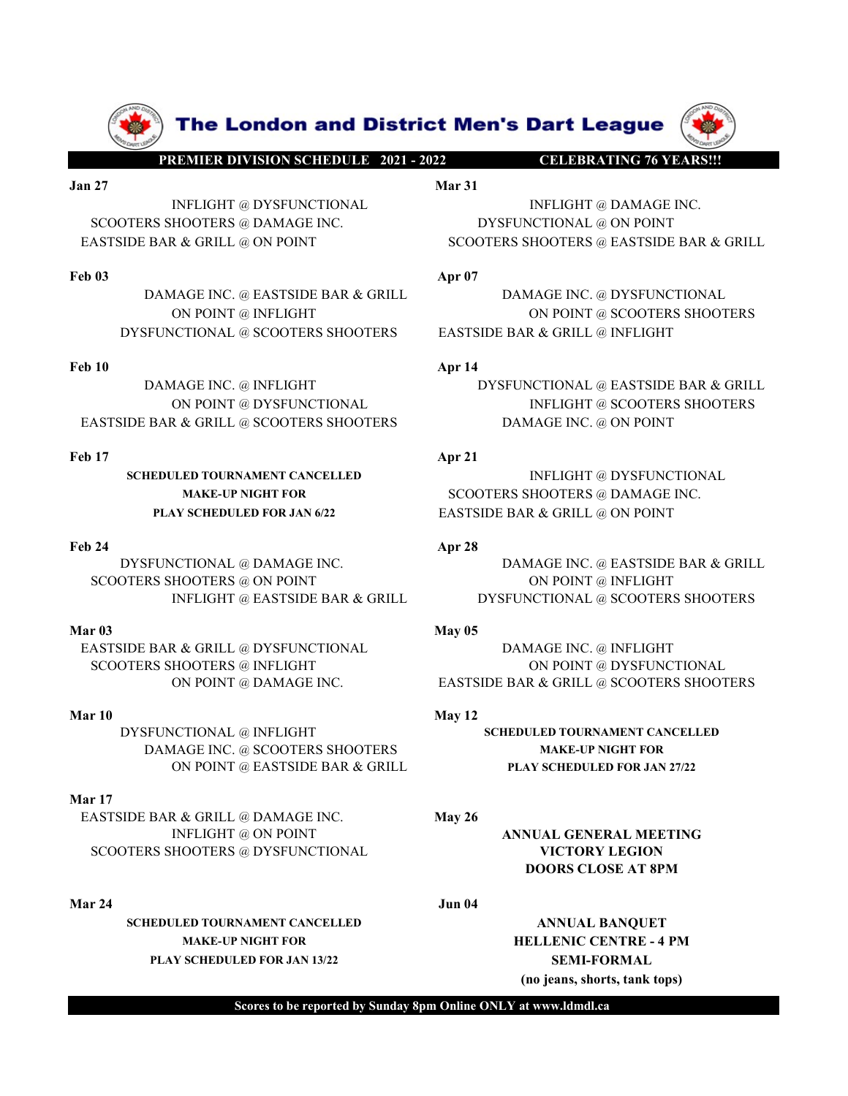

ON POINT @ INFLIGHT<br>
SCOOTERS SHOOTERS AND EXTSIDE BAR & GRILL @ NETLGHT<br>
ON POINT @ SCOOTERS SHOOTERS<br>
STSIDE BAR & GRILL @ SCOOTERS SHOOTERS<br>
STSIDE BAR & GRILL @ SCOOTERS SHOOTERS<br>
STSIDE BAR & GRILL @ SCOOTERS SHOOTER FOLD DAMAGE INC. (@ EASTSIDE BAR A GRILL (@ NOTERS SHOOTERS SHOOTERS SHOOTERS SHOOTERS SHOOTERS SHOOTERS SHOOTERS SHOOTERS SHOOTERS SHOOTERS SHOOTERS (@ ON POINT<br>
FOLD SCHEDULED TOURNAMENT CANCELLED<br>
MAKE-UP NOTIFICATIES<br>

SCHEDULED TOURNAMENT CANCELLED **INFLIGHT @ DYSFUNCTIONAL** 

DYSFUNCTIONAL @ INFLIGHT SCHEDULED TOURNAMENT CANCELLED DAMAGE INC. @ SCOOTERS SHOOTERS MAKE-UP NIGHT FOR ON POINT @ EASTSIDE BAR & GRILL PLAY SCHEDULED FOR JAN 27/22

# Mar 17

EASTSIDE BAR & GRILL @ DAMAGE INC. May 26 SCOOTERS SHOOTERS @ DYSFUNCTIONAL VICTORY LEGION

SCHEDULED TOURNAMENT CANCELLED ANNUAL BANQUET MAKE-UP NIGHT FOR **HELLENIC CENTRE - 4 PM** PLAY SCHEDULED FOR JAN 13/22 SEMI-FORMAL

**The London and District Men's Dart League (PREMIER DIVISION SCHEDULE 2021 - 2022**<br>
PREMIER DIVISION SCHEDULE 2021 - 2022<br>
Mar 31<br>
INFLIGHT @ DAMAGE INC.<br>
SHOOTERS @ DAMAGE INC.<br>
AR & GRILL @ ON POINT<br>
SCOOTERS SHOOTERS @ **Solution and District Men's Dart League (No. 2014)**<br> **Jan 27**<br> **Jan 27**<br> **Mar 31**<br> **Mar 31**<br> **SCOOTERS @ DAMAGE INC.**<br> **EASTSIDE BAR & GRILL @ ON POINT**<br> **EASTSIDE BAR & GRILL @ ON POINT**<br> **EASTSIDE BAR & GRILL @ ON POINT** The London and District Men's Dart League<br> **ELEBRATING 76 YEARSH:**<br>
INFLIGHT @ DYSFUNCTIONAL Mar 31<br>
INFLIGHT @ DAMAGE INC.<br>
INCOTERS @ DAMAGE INC.<br>
& GRILL @ ON POINT SCOOTERS SHOOTERS @ EASTSIDE BAR & GRILL<br>
App 07<br>
MAGE **SCOOTERS SHOOTERS @ DAMAGE INC. @ EASTSIDE BAR & GRILL**<br> **SCOOTERS SHOOTERS @ DAMAGE INC.**<br>
BAMAGE INC. DYSFUNCTIONAL @ ON POINT<br>
BAMAGE INC. DYSFUNCTIONAL @ ON POINT<br>
DAMAGE INC. @ EASTSIDE BAR & GRILL<br>
ON POINT @ INFLIG **EXTREMELTED THE LONDON AND DIStrict Men's Dart League (APP)**<br>
THEIGHT @ DYSFUNCTIONAL MELIGHT @ DAMAGE INC.<br>
SCOOTERS SHOOTERS @ DAMAGE INC.<br>
EASTSIDE BAR & GRILL @ ON POINT SCOOTERS SHOOTERS @ EASTSIDE BAR & GRILL<br>
APP 0

**FREE LONDON AND DISTRICT MON'S DATT LEAGUE (1998)**<br>
FREE LONDON AND DISTRICT (POSTUNCTIONAL MATERIAL INFLIGHT (2) DYSPUNCTIONAL MATERIAL INFLIGHT (2) DAMAGE INC.<br>
SCOOTERS SHOOTERS (2) DAMAGE INC.<br>
EASTSIDE BAR & GRILL (2 **EXERCISE ARE INCORPORATED APTION AND SECURE INC. WELLOW CONTRIBUTE APTION CONTROLLATED ARE GRILL APTION<br>
DAMAGE INC. @ DAMAGE INC. WELGHT @ DAMAGE INC. BYSEUNCTIONAL @ ON POINT<br>
BAR & GRILL @ ON POINT<br>
BAR & GRILL @ ON PO The London and District Men's Dart League**<br>
Mar<sup>31</sup><br>
NELIGHT @ DYSEUNCTIONAL<br>
Mar<sup>31</sup><br>
NELIGHT @ DAMAGE INC.<br>
MOOTERS @ DAMAGE INC.<br>
ACCOOTERS SHOOTERS SHOOTERS GEASTSIDE BAR & GRILL<br>
ACCOOTERS SHOOTERS SHOOTERS SHOOTERS **The London and District Men's Dart League**<br> **EREMIRE DIVISIONSCIEDULE:** 201-202<br>
INFLIGHT @ DAMAGE INC.<br>
INFLIGHT @ DAMAGE INC.<br>
IDE BAR & GRILL @ ON POINT<br>
DAMAGE INC. @ EASTSIDE BAR & GRILL<br>
DAMAGE INC. @ EASTSIDE BAR & **EXERCISE AN APPEAR AND APPEAR AND CONTROLLY APPEAR AND APPEAR AND APPEAR AND APPEAR AND APPEAR AND DRIVEN THE DAMAGE INC.<br>
SCOTTERS SHOOTERS & DAMAGE INC.<br>
EXERCISE BAR & GRILL & ON POINT<br>
FOR DAMAGE INC. (@ EASTSIDE BAR THE LONDON AND DIStrict Men's Dart League (W)**<br>
INFLIGHT @ DYSFUNCTIONAL Mar.31<br>
INFLIGHT @ DAMAGE INC.<br>
IS SHOOTERS @ DAMAGE INC.<br>
ES SHOOTERS @ DAMAGE INC.<br>
DAMAGE INC. @ EASTSIDE BAR & GRILL Apple of DAMAGE INC. @ EAS **The London and District Men's Dart League (W)**<br> **ENJERVING DISTRICT (DAMAGE INC.**<br>
INFLIGHT @ DYSFUNCTIONAL Mat 31<br>
HOTERS @ DAMAGE INC. @ FASTSIDE BAR & GRILL<br>
APP<sup>07</sup><br>
DAMAGE INC. @ FASTSIDE BAR & GRILL<br>
APP<sup>07</sup><br>
DAMAG **EXERCISIDE BAR & GRILL PRESSURE SHOOTERS**<br> **EXERCISION SCRIBER AND AGENCE AND AGENCE SHOOTERS SHOOTERS SHOOTERS AND POINT**<br>
SCOOTERS SHOOTERS AND POINT<br> **EXERCISION AGENCE INC. SCOOTERS SHOOTERS SHOOTERS AND POINT**<br> **E FREE LORIDON AND DESTRUE MEN'S DATE LEAGUE (2008)**<br>
JUNEAU SUPPER CONTRESS INDITING TO DEVELOP AND INFIGUE TO NOTE AND INTERNET CONTROLL AND INTERNET SOMEONERS SUPPER CONTROLL FOR DAMAGE INC.<br>
THE BARK A GRILL (4) ON POI **EXECUTES SHOOTIES & DAMAGE INC.**<br>
SCOTERS SHOOTIES AND ANDENE CONTERNATION AND TOWER ON POINT<br>
FED 23 APRINCIPAL & CRILL<br>
FED 3 BANAGE INC. @ EASTSIDE BAR & GRILL<br>
THE DAMAGE INC. @ EASTSIDE BAR & GRILL<br>
DAMAGE INC. @ IN THE MAKE INC. @ INFERENCEIDING COOTERS SHOOTERS SURVEY CHANGE INC. @ EASTSIDE BAR & GRILL GON POINT & SCOOTERS SHOOTERS SHOOTERS SHOOTERS ARE GRILL ON POINT @ SCOOTERS SHOOTERS AND POINT ON POINT @ SCOOTERS SHOOTERS INCOLL SCOOTERS MOUTENS (DAMAGE INC. (GOVERS SHOOTERS AND EXECUTED ARE A GRILL<br>
SCOOTERS AND REVIDED BAR A GRILL<br>
ON POINT (GOVERS SHOOTERS AND REVIDED BAR A GRILL<br>
ON POINT (GOVERS SHOOTERS AND CONTRES SHOOTERS SHOOTERS SHOOTER EXTRIDE BAR A GRILL WELL WANT WANT WANTE THE CONTERNAL WAS CRILL WANTEN WAS CONTERNAL WARE INC.<br>
SCOOTERS SHOOTERS SHOOTERS<br>
THEORY CRITER ON POINT @ INFLIGHT<br>
AGE INC. @ INFLIGHT<br>
AGE INC. @ INFLIGHT<br>
AGE INC. @ INFLIGHT<br> FOR BANAGE INC.  $\Phi$  DAMAGE INC. (@ EASTSIDE BAR & GRILL ON POINT @ INTLIGHT<br>
THE DAMAGE INC. (@ INTLIGHT<br>
THE DAMAGE INC. (@ INTLIGHT<br>
DAMAGE INC. (@ INTLIGHT<br>
NAMAGE INC. (@ INTLIGHT<br>
ON DRONT @ INTELURED AR & GRILL (@ DAMAGE INC. @ EASTSIDE BAR & GRILL DAMAGE INC. @ DYSFUNCTIONAL DAMAGE INC.<br>
DAMAGE INC. @ INFLIGHT<br>
DAMAGE INC. @ INFLIGHT<br>
ON POINT @ DOSPINE TOWARD INC. DAMAGE INC. @ INFLIGHT<br>
ON POINT @ DYSFUNCTIONAL & EASTSIDE BAR &

ICTIONAL @ SCOOTERS SHOOTERS<br>
MAGE INC. @ INFLIGHT<br>
ON POINT @ DYSEUNCTIONAL<br>
MAGE INC. @ ON POINT<br>
READ TOURNAMENT CANCELLED<br>
APP 21<br>
INFLIGHT @ SCOOTERS SHOOTERS<br>
MAGE INC. @ ON POINT<br>
MAKE-UP NIGHT POR<br>
MAGE INC. APP 28

MAKE-UP NIGHT FOR SCOOTERS SHOOTERS @ DAMAGE INC. PLAY SCHEDULED FOR JAN 6/22 EASTSIDE BAR & GRILL @ ON POINT

EN COOTERS SHOOTERS (SELL (SECURE DENTROITED BAR & GRILL (SECURE DENTROITED BAR ASSEMBLE DESSEMBLE DES COOTERS SHOOTERS ON POINT (SECURE DES COOTERS SHOOTERS (SECURE DES COOTERS SHOOTERS (SECURE DES COOTERS SHOOTERS (SECUR

INFLIGHT @ ON POINT ANNUAL GENERAL MEETING DOORS CLOSE AT 8PM

(no jeans, shorts, tank tops)